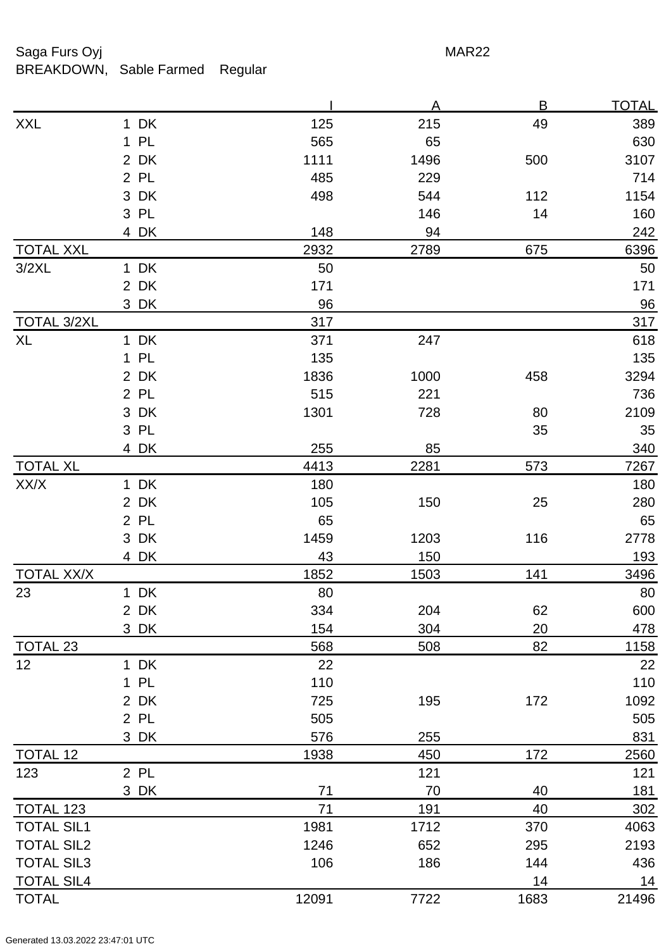## Saga Furs Oyj and the Saga Furs Oyj and the Saga Furs of the MAR22 BREAKDOWN, Sable Farmed Regular

|                    |      |       | A    | B    | <b>TOTAL</b> |
|--------------------|------|-------|------|------|--------------|
| <b>XXL</b>         | 1 DK | 125   | 215  | 49   | 389          |
|                    | 1 PL | 565   | 65   |      | 630          |
|                    | 2 DK | 1111  | 1496 | 500  | 3107         |
|                    | 2 PL | 485   | 229  |      | 714          |
|                    | 3 DK | 498   | 544  | 112  | 1154         |
|                    | 3 PL |       | 146  | 14   | 160          |
|                    | 4 DK | 148   | 94   |      | 242          |
| <b>TOTAL XXL</b>   |      | 2932  | 2789 | 675  | 6396         |
| 3/2XL              | 1 DK | 50    |      |      | 50           |
|                    | 2 DK | 171   |      |      | 171          |
|                    | 3 DK | 96    |      |      | 96           |
| <b>TOTAL 3/2XL</b> |      | 317   |      |      | 317          |
| <b>XL</b>          | 1 DK | 371   | 247  |      | 618          |
|                    | 1 PL | 135   |      |      | 135          |
|                    | 2 DK | 1836  | 1000 | 458  | 3294         |
|                    | 2 PL | 515   | 221  |      | 736          |
|                    | 3 DK | 1301  | 728  | 80   | 2109         |
|                    | 3 PL |       |      | 35   | 35           |
|                    | 4 DK | 255   | 85   |      | 340          |
| <b>TOTAL XL</b>    |      | 4413  | 2281 | 573  | 7267         |
| XX/X               | 1 DK | 180   |      |      | 180          |
|                    | 2 DK | 105   | 150  | 25   | 280          |
|                    | 2 PL | 65    |      |      | 65           |
|                    | 3 DK | 1459  | 1203 | 116  | 2778         |
|                    | 4 DK | 43    | 150  |      | <u>193</u>   |
| <b>TOTAL XX/X</b>  |      | 1852  | 1503 | 141  | 3496         |
| 23                 | 1 DK | 80    |      |      | 80           |
|                    | 2 DK | 334   | 204  | 62   | 600          |
|                    | 3 DK | 154   | 304  | 20   | 478          |
| TOTAL 23           |      | 568   | 508  | 82   | <u>1158</u>  |
| 12                 | 1 DK | 22    |      |      | 22           |
|                    | 1 PL | 110   |      |      | 110          |
|                    | 2 DK | 725   | 195  | 172  | 1092         |
|                    | 2 PL | 505   |      |      | 505          |
|                    | 3 DK | 576   | 255  |      | 831          |
| <b>TOTAL 12</b>    |      | 1938  | 450  | 172  | 2560         |
| 123                | 2 PL |       | 121  |      | 121          |
|                    | 3 DK | 71    | 70   | 40   | 181          |
| TOTAL 123          |      | 71    | 191  | 40   | 302          |
| <b>TOTAL SIL1</b>  |      | 1981  | 1712 | 370  | 4063         |
| <b>TOTAL SIL2</b>  |      | 1246  | 652  | 295  | 2193         |
| <b>TOTAL SIL3</b>  |      | 106   | 186  | 144  | 436          |
| <b>TOTAL SIL4</b>  |      |       |      | 14   | 14           |
| <b>TOTAL</b>       |      | 12091 | 7722 | 1683 | 21496        |